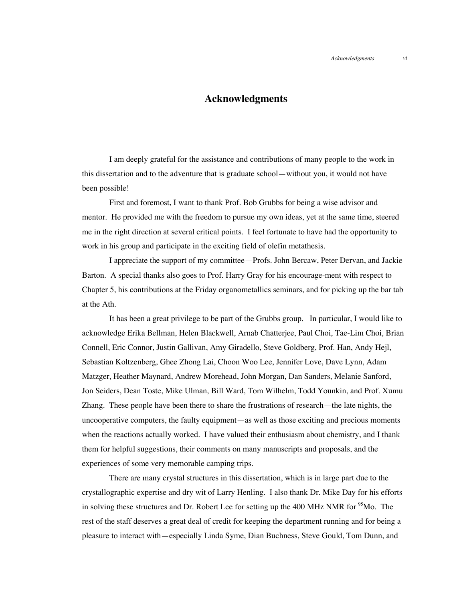## **Acknowledgments**

I am deeply grateful for the assistance and contributions of many people to the work in this dissertation and to the adventure that is graduate school—without you, it would not have been possible!

First and foremost, I want to thank Prof. Bob Grubbs for being a wise advisor and mentor. He provided me with the freedom to pursue my own ideas, yet at the same time, steered me in the right direction at several critical points. I feel fortunate to have had the opportunity to work in his group and participate in the exciting field of olefin metathesis.

I appreciate the support of my committee—Profs. John Bercaw, Peter Dervan, and Jackie Barton. A special thanks also goes to Prof. Harry Gray for his encourage-ment with respect to Chapter 5, his contributions at the Friday organometallics seminars, and for picking up the bar tab at the Ath.

It has been a great privilege to be part of the Grubbs group. In particular, I would like to acknowledge Erika Bellman, Helen Blackwell, Arnab Chatterjee, Paul Choi, Tae-Lim Choi, Brian Connell, Eric Connor, Justin Gallivan, Amy Giradello, Steve Goldberg, Prof. Han, Andy Hejl, Sebastian Koltzenberg, Ghee Zhong Lai, Choon Woo Lee, Jennifer Love, Dave Lynn, Adam Matzger, Heather Maynard, Andrew Morehead, John Morgan, Dan Sanders, Melanie Sanford, Jon Seiders, Dean Toste, Mike Ulman, Bill Ward, Tom Wilhelm, Todd Younkin, and Prof. Xumu Zhang. These people have been there to share the frustrations of research—the late nights, the uncooperative computers, the faulty equipment—as well as those exciting and precious moments when the reactions actually worked. I have valued their enthusiasm about chemistry, and I thank them for helpful suggestions, their comments on many manuscripts and proposals, and the experiences of some very memorable camping trips.

There are many crystal structures in this dissertation, which is in large part due to the crystallographic expertise and dry wit of Larry Henling. I also thank Dr. Mike Day for his efforts in solving these structures and Dr. Robert Lee for setting up the 400 MHz NMR for <sup>95</sup>Mo. The rest of the staff deserves a great deal of credit for keeping the department running and for being a pleasure to interact with—especially Linda Syme, Dian Buchness, Steve Gould, Tom Dunn, and